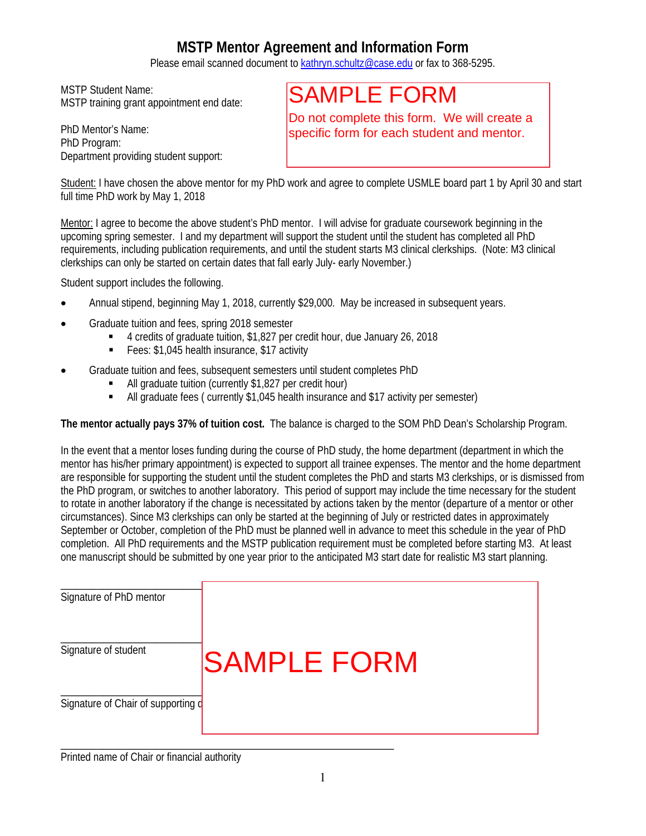# **MSTP Mentor Agreement and Information Form**

Please email scanned document to kathryn.schultz@case.edu or fax to 368-5295.

MSTP Student Name: MSTP training grant appointment end date:

Student: I have chosen the above mentor for my PhD work and agree to complete USMLE board part 1 by April 30 and start full time PhD work by May 1, 2018

- Annual stipend, beginning May 1, 2018, currently \$29,000. May be increased in subsequent years.
- Graduate tuition and fees, spring 2018 semester
	- 4 credits of graduate tuition, \$1,827 per credit hour, due January 26, 2018
	- Fees: \$1,045 health insurance, \$17 activity
- Graduate tuition and fees, subsequent semesters until student completes PhD
	- All graduate tuition (currently \$1,827 per credit hour)

**The mentor actually pays 37% of tuition cost.** The balance is charged to the SOM PhD Dean's Scholarship Program.

In the event that a mentor loses funding during the course of PhD study, the home department (department in which the mentor has his/her primary appointment) is expected to support all trainee expenses. The mentor and the home department are responsible for supporting the student until the student completes the PhD and starts M3 clerkships, or is dismissed from the PhD program, or switches to another laboratory. This period of support may include the time necessary for the student to rotate in another laboratory if the change is necessitated by actions taken by the mentor (departure of a mentor or other circumstances). Since M3 clerkships can only be started at the beginning of July or restricted dates in approximately September or October, completion of the PhD must be planned well in advance to meet this schedule in the year of PhD completion. All PhD requirements and the MSTP publication requirement must be completed before starting M3. At least one manuscript should be submitted by one year prior to the anticipated M3 start date for realistic M3 start planning.

| <b>MSTP Student Name:</b><br>MSTP training grant appointment end date:                                                                  | <b>SAMPLE FORM</b>                                                                                                                                                                                                                                                                                                                                                                                                                                                                                                                                                                                                                                                                                                                                                                                                                                                                                                                                                                                                                                                                      |
|-----------------------------------------------------------------------------------------------------------------------------------------|-----------------------------------------------------------------------------------------------------------------------------------------------------------------------------------------------------------------------------------------------------------------------------------------------------------------------------------------------------------------------------------------------------------------------------------------------------------------------------------------------------------------------------------------------------------------------------------------------------------------------------------------------------------------------------------------------------------------------------------------------------------------------------------------------------------------------------------------------------------------------------------------------------------------------------------------------------------------------------------------------------------------------------------------------------------------------------------------|
| PhD Mentor's Name:<br>PhD Program:                                                                                                      | Do not complete this form. We will create a<br>specific form for each student and mentor.                                                                                                                                                                                                                                                                                                                                                                                                                                                                                                                                                                                                                                                                                                                                                                                                                                                                                                                                                                                               |
| Department providing student support:                                                                                                   |                                                                                                                                                                                                                                                                                                                                                                                                                                                                                                                                                                                                                                                                                                                                                                                                                                                                                                                                                                                                                                                                                         |
| full time PhD work by May 1, 2018                                                                                                       | Student: I have chosen the above mentor for my PhD work and agree to complete USMLE board part 1 by April 30                                                                                                                                                                                                                                                                                                                                                                                                                                                                                                                                                                                                                                                                                                                                                                                                                                                                                                                                                                            |
| clerkships can only be started on certain dates that fall early July-early November.)                                                   | Mentor: I agree to become the above student's PhD mentor. I will advise for graduate coursework beginning in the<br>upcoming spring semester. I and my department will support the student until the student has completed all PhD<br>requirements, including publication requirements, and until the student starts M3 clinical clerkships. (Note: M3 clin                                                                                                                                                                                                                                                                                                                                                                                                                                                                                                                                                                                                                                                                                                                             |
| Student support includes the following.                                                                                                 |                                                                                                                                                                                                                                                                                                                                                                                                                                                                                                                                                                                                                                                                                                                                                                                                                                                                                                                                                                                                                                                                                         |
|                                                                                                                                         | Annual stipend, beginning May 1, 2018, currently \$29,000. May be increased in subsequent years.                                                                                                                                                                                                                                                                                                                                                                                                                                                                                                                                                                                                                                                                                                                                                                                                                                                                                                                                                                                        |
| Graduate tuition and fees, spring 2018 semester<br>Fees: \$1,045 health insurance, \$17 activity<br>п                                   | 4 credits of graduate tuition, \$1,827 per credit hour, due January 26, 2018                                                                                                                                                                                                                                                                                                                                                                                                                                                                                                                                                                                                                                                                                                                                                                                                                                                                                                                                                                                                            |
| Graduate tuition and fees, subsequent semesters until student completes PhD<br>All graduate tuition (currently \$1,827 per credit hour) | All graduate fees (currently \$1,045 health insurance and \$17 activity per semester)                                                                                                                                                                                                                                                                                                                                                                                                                                                                                                                                                                                                                                                                                                                                                                                                                                                                                                                                                                                                   |
|                                                                                                                                         | The mentor actually pays 37% of tuition cost. The balance is charged to the SOM PhD Dean's Scholarship Pro                                                                                                                                                                                                                                                                                                                                                                                                                                                                                                                                                                                                                                                                                                                                                                                                                                                                                                                                                                              |
|                                                                                                                                         | In the event that a mentor loses funding during the course of PhD study, the home department (department in whid<br>mentor has his/her primary appointment) is expected to support all trainee expenses. The mentor and the home de<br>are responsible for supporting the student until the student completes the PhD and starts M3 clerkships, or is dism<br>the PhD program, or switches to another laboratory. This period of support may include the time necessary for the<br>to rotate in another laboratory if the change is necessitated by actions taken by the mentor (departure of a mentor<br>circumstances). Since M3 clerkships can only be started at the beginning of July or restricted dates in approximate<br>September or October, completion of the PhD must be planned well in advance to meet this schedule in the year o<br>completion. All PhD requirements and the MSTP publication requirement must be completed before starting M3.<br>one manuscript should be submitted by one year prior to the anticipated M3 start date for realistic M3 start plannin |
| Signature of PhD mentor                                                                                                                 |                                                                                                                                                                                                                                                                                                                                                                                                                                                                                                                                                                                                                                                                                                                                                                                                                                                                                                                                                                                                                                                                                         |
| Signature of student                                                                                                                    | <b>SAMPLE FORM</b>                                                                                                                                                                                                                                                                                                                                                                                                                                                                                                                                                                                                                                                                                                                                                                                                                                                                                                                                                                                                                                                                      |
| Signature of Chair of supporting of                                                                                                     |                                                                                                                                                                                                                                                                                                                                                                                                                                                                                                                                                                                                                                                                                                                                                                                                                                                                                                                                                                                                                                                                                         |
| Printed name of Chair or financial authority                                                                                            |                                                                                                                                                                                                                                                                                                                                                                                                                                                                                                                                                                                                                                                                                                                                                                                                                                                                                                                                                                                                                                                                                         |